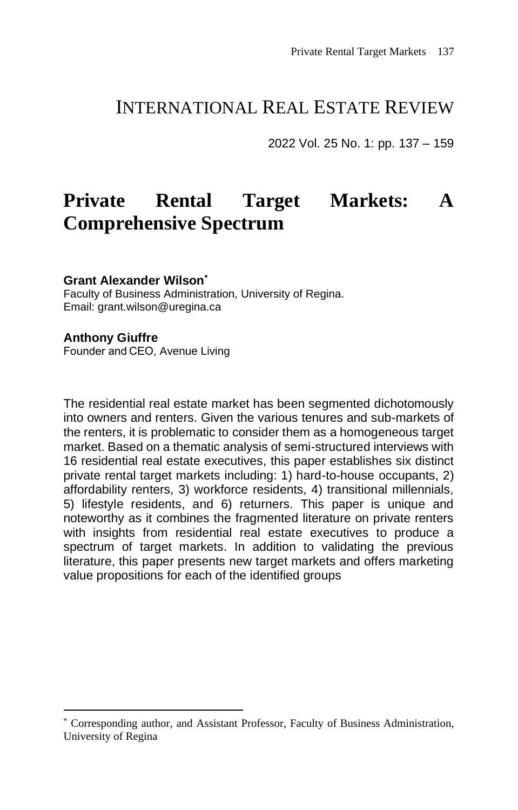## INTERNATIONAL REAL ESTATE REVIEW

2022 Vol. 25 No. 1: pp. 137 – 159

# **Private Rental Target Markets: A Comprehensive Spectrum**

#### **Grant Alexander Wilson\***

Faculty of Business Administration, University of Regina. Email: grant.wilson@uregina.ca

#### **Anthony Giuffre**

Founder and CEO, Avenue Living

The residential real estate market has been segmented dichotomously into owners and renters. Given the various tenures and sub-markets of the renters, it is problematic to consider them as a homogeneous target market. Based on a thematic analysis of semi-structured interviews with 16 residential real estate executives, this paper establishes six distinct private rental target markets including: 1) hard-to-house occupants, 2) affordability renters, 3) workforce residents, 4) transitional millennials, 5) lifestyle residents, and 6) returners. This paper is unique and noteworthy as it combines the fragmented literature on private renters with insights from residential real estate executives to produce a spectrum of target markets. In addition to validating the previous literature, this paper presents new target markets and offers marketing value propositions for each of the identified groups

<sup>\*</sup> Corresponding author, and Assistant Professor, Faculty of Business Administration, University of Regina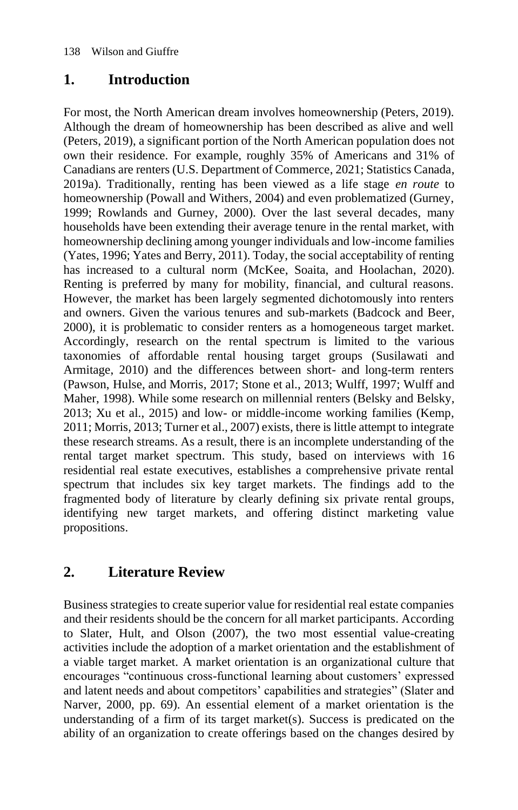### **1. Introduction**

For most, the North American dream involves homeownership (Peters, 2019). Although the dream of homeownership has been described as alive and well (Peters, 2019), a significant portion of the North American population does not own their residence. For example, roughly 35% of Americans and 31% of Canadians are renters (U.S. Department of Commerce, 2021; Statistics Canada, 2019a). Traditionally, renting has been viewed as a life stage *en route* to homeownership (Powall and Withers, 2004) and even problematized (Gurney, 1999; Rowlands and Gurney, 2000). Over the last several decades, many households have been extending their average tenure in the rental market, with homeownership declining among younger individuals and low-income families (Yates, 1996; Yates and Berry, 2011). Today, the social acceptability of renting has increased to a cultural norm (McKee, Soaita, and Hoolachan, 2020). Renting is preferred by many for mobility, financial, and cultural reasons. However, the market has been largely segmented dichotomously into renters and owners. Given the various tenures and sub-markets (Badcock and Beer, 2000), it is problematic to consider renters as a homogeneous target market. Accordingly, research on the rental spectrum is limited to the various taxonomies of affordable rental housing target groups (Susilawati and Armitage, 2010) and the differences between short- and long-term renters (Pawson, Hulse, and Morris, 2017; Stone et al., 2013; Wulff, 1997; Wulff and Maher, 1998). While some research on millennial renters (Belsky and Belsky, 2013; Xu et al., 2015) and low- or middle-income working families (Kemp, 2011; Morris, 2013; Turner et al., 2007) exists, there is little attempt to integrate these research streams. As a result, there is an incomplete understanding of the rental target market spectrum. This study, based on interviews with 16 residential real estate executives, establishes a comprehensive private rental spectrum that includes six key target markets. The findings add to the fragmented body of literature by clearly defining six private rental groups, identifying new target markets, and offering distinct marketing value propositions.

### **2. Literature Review**

Business strategies to create superior value for residential real estate companies and their residents should be the concern for all market participants. According to Slater, Hult, and Olson (2007), the two most essential value-creating activities include the adoption of a market orientation and the establishment of a viable target market. A market orientation is an organizational culture that encourages "continuous cross-functional learning about customers' expressed and latent needs and about competitors' capabilities and strategies" (Slater and Narver, 2000, pp. 69). An essential element of a market orientation is the understanding of a firm of its target market(s). Success is predicated on the ability of an organization to create offerings based on the changes desired by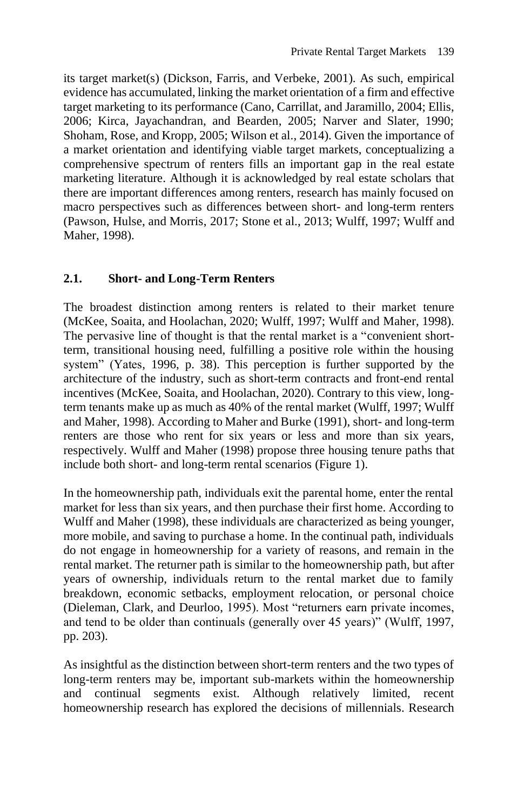its target market(s) (Dickson, Farris, and Verbeke, 2001). As such, empirical evidence has accumulated, linking the market orientation of a firm and effective target marketing to its performance (Cano, Carrillat, and Jaramillo, 2004; Ellis, 2006; Kirca, Jayachandran, and Bearden, 2005; Narver and Slater, 1990; Shoham, Rose, and Kropp, 2005; Wilson et al., 2014). Given the importance of a market orientation and identifying viable target markets, conceptualizing a comprehensive spectrum of renters fills an important gap in the real estate marketing literature. Although it is acknowledged by real estate scholars that there are important differences among renters, research has mainly focused on macro perspectives such as differences between short- and long-term renters (Pawson, Hulse, and Morris, 2017; Stone et al., 2013; Wulff, 1997; Wulff and Maher, 1998).

### **2.1. Short- and Long-Term Renters**

The broadest distinction among renters is related to their market tenure (McKee, Soaita, and Hoolachan, 2020; Wulff, 1997; Wulff and Maher, 1998). The pervasive line of thought is that the rental market is a "convenient shortterm, transitional housing need, fulfilling a positive role within the housing system" (Yates, 1996, p. 38). This perception is further supported by the architecture of the industry, such as short-term contracts and front-end rental incentives (McKee, Soaita, and Hoolachan, 2020). Contrary to this view, longterm tenants make up as much as 40% of the rental market (Wulff, 1997; Wulff and Maher, 1998). According to Maher and Burke (1991), short- and long-term renters are those who rent for six years or less and more than six years, respectively. Wulff and Maher (1998) propose three housing tenure paths that include both short- and long-term rental scenarios (Figure 1).

In the homeownership path, individuals exit the parental home, enter the rental market for less than six years, and then purchase their first home. According to Wulff and Maher (1998), these individuals are characterized as being younger, more mobile, and saving to purchase a home. In the continual path, individuals do not engage in homeownership for a variety of reasons, and remain in the rental market. The returner path is similar to the homeownership path, but after years of ownership, individuals return to the rental market due to family breakdown, economic setbacks, employment relocation, or personal choice (Dieleman, Clark, and Deurloo, 1995). Most "returners earn private incomes, and tend to be older than continuals (generally over 45 years)" (Wulff, 1997, pp. 203).

As insightful as the distinction between short-term renters and the two types of long-term renters may be, important sub-markets within the homeownership and continual segments exist. Although relatively limited, recent homeownership research has explored the decisions of millennials. Research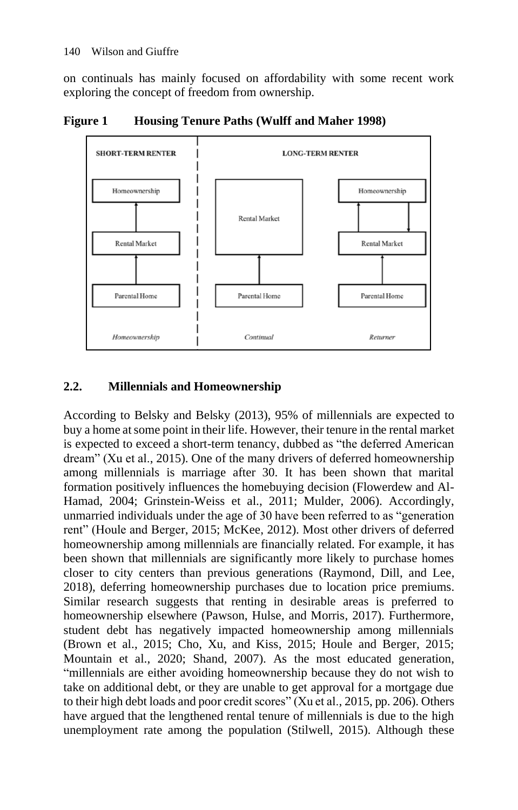on continuals has mainly focused on affordability with some recent work exploring the concept of freedom from ownership.





#### **2.2. Millennials and Homeownership**

According to Belsky and Belsky (2013), 95% of millennials are expected to buy a home at some point in their life. However, their tenure in the rental market is expected to exceed a short-term tenancy, dubbed as "the deferred American dream" (Xu et al., 2015). One of the many drivers of deferred homeownership among millennials is marriage after 30. It has been shown that marital formation positively influences the homebuying decision (Flowerdew and Al-Hamad, 2004; Grinstein-Weiss et al., 2011; Mulder, 2006). Accordingly, unmarried individuals under the age of 30 have been referred to as "generation rent" (Houle and Berger, 2015; McKee, 2012). Most other drivers of deferred homeownership among millennials are financially related. For example, it has been shown that millennials are significantly more likely to purchase homes closer to city centers than previous generations (Raymond, Dill, and Lee, 2018), deferring homeownership purchases due to location price premiums. Similar research suggests that renting in desirable areas is preferred to homeownership elsewhere (Pawson, Hulse, and Morris, 2017). Furthermore, student debt has negatively impacted homeownership among millennials (Brown et al., 2015; Cho, Xu, and Kiss, 2015; Houle and Berger, 2015; Mountain et al., 2020; Shand, 2007). As the most educated generation, "millennials are either avoiding homeownership because they do not wish to take on additional debt, or they are unable to get approval for a mortgage due to their high debt loads and poor credit scores" (Xu et al., 2015, pp. 206). Others have argued that the lengthened rental tenure of millennials is due to the high unemployment rate among the population (Stilwell, 2015). Although these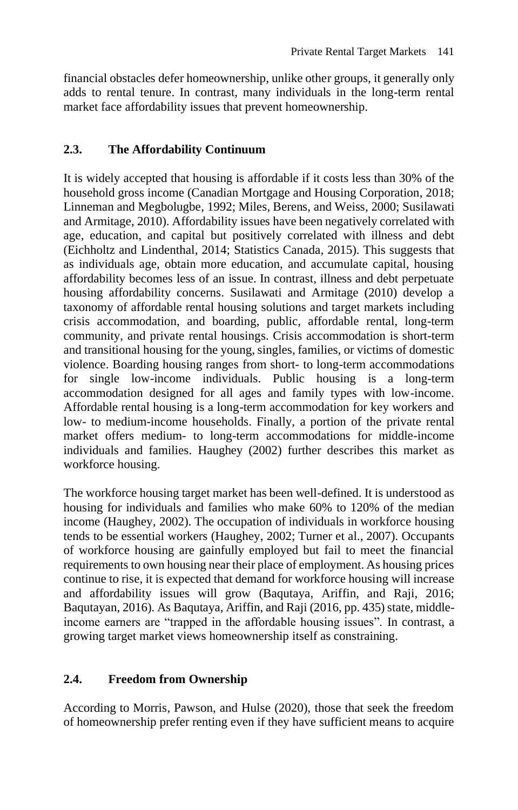financial obstacles defer homeownership, unlike other groups, it generally only adds to rental tenure. In contrast, many individuals in the long-term rental market face affordability issues that prevent homeownership.

### **2.3. The Affordability Continuum**

It is widely accepted that housing is affordable if it costs less than 30% of the household gross income (Canadian Mortgage and Housing Corporation, 2018; Linneman and Megbolugbe, 1992; Miles, Berens, and Weiss, 2000; Susilawati and Armitage, 2010). Affordability issues have been negatively correlated with age, education, and capital but positively correlated with illness and debt (Eichholtz and Lindenthal, 2014; Statistics Canada, 2015). This suggests that as individuals age, obtain more education, and accumulate capital, housing affordability becomes less of an issue. In contrast, illness and debt perpetuate housing affordability concerns. Susilawati and Armitage (2010) develop a taxonomy of affordable rental housing solutions and target markets including crisis accommodation, and boarding, public, affordable rental, long-term community, and private rental housings. Crisis accommodation is short-term and transitional housing for the young, singles, families, or victims of domestic violence. Boarding housing ranges from short- to long-term accommodations for single low-income individuals. Public housing is a long-term accommodation designed for all ages and family types with low-income. Affordable rental housing is a long-term accommodation for key workers and low- to medium-income households. Finally, a portion of the private rental market offers medium- to long-term accommodations for middle-income individuals and families. Haughey (2002) further describes this market as workforce housing.

The workforce housing target market has been well-defined. It is understood as housing for individuals and families who make 60% to 120% of the median income (Haughey, 2002). The occupation of individuals in workforce housing tends to be essential workers (Haughey, 2002; Turner et al., 2007). Occupants of workforce housing are gainfully employed but fail to meet the financial requirements to own housing near their place of employment. As housing prices continue to rise, it is expected that demand for workforce housing will increase and affordability issues will grow (Baqutaya, Ariffin, and Raji, 2016; Baqutayan, 2016). As Baqutaya, Ariffin, and Raji (2016, pp. 435) state, middleincome earners are "trapped in the affordable housing issues". In contrast, a growing target market views homeownership itself as constraining.

### **2.4. Freedom from Ownership**

According to Morris, Pawson, and Hulse (2020), those that seek the freedom of homeownership prefer renting even if they have sufficient means to acquire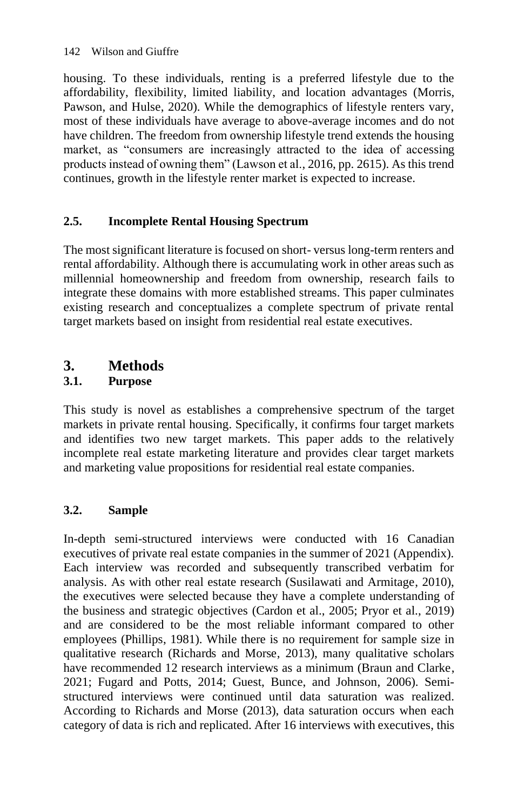housing. To these individuals, renting is a preferred lifestyle due to the affordability, flexibility, limited liability, and location advantages (Morris, Pawson, and Hulse, 2020). While the demographics of lifestyle renters vary, most of these individuals have average to above-average incomes and do not have children. The freedom from ownership lifestyle trend extends the housing market, as "consumers are increasingly attracted to the idea of accessing products instead of owning them" (Lawson et al., 2016, pp. 2615). As this trend continues, growth in the lifestyle renter market is expected to increase.

### **2.5. Incomplete Rental Housing Spectrum**

The most significant literature is focused on short- versus long-term renters and rental affordability. Although there is accumulating work in other areas such as millennial homeownership and freedom from ownership, research fails to integrate these domains with more established streams. This paper culminates existing research and conceptualizes a complete spectrum of private rental target markets based on insight from residential real estate executives.

### **3. Methods**

### **3.1. Purpose**

This study is novel as establishes a comprehensive spectrum of the target markets in private rental housing. Specifically, it confirms four target markets and identifies two new target markets. This paper adds to the relatively incomplete real estate marketing literature and provides clear target markets and marketing value propositions for residential real estate companies.

### **3.2. Sample**

In-depth semi-structured interviews were conducted with 16 Canadian executives of private real estate companies in the summer of 2021 (Appendix). Each interview was recorded and subsequently transcribed verbatim for analysis. As with other real estate research (Susilawati and Armitage, 2010), the executives were selected because they have a complete understanding of the business and strategic objectives (Cardon et al., 2005; Pryor et al., 2019) and are considered to be the most reliable informant compared to other employees (Phillips, 1981). While there is no requirement for sample size in qualitative research (Richards and Morse, 2013), many qualitative scholars have recommended 12 research interviews as a minimum (Braun and Clarke, 2021; Fugard and Potts, 2014; Guest, Bunce, and Johnson, 2006). Semistructured interviews were continued until data saturation was realized. According to Richards and Morse (2013), data saturation occurs when each category of data is rich and replicated. After 16 interviews with executives, this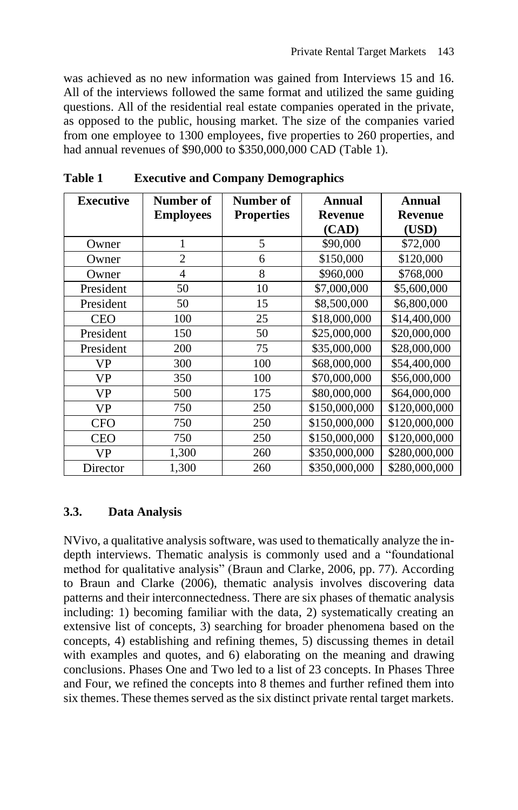was achieved as no new information was gained from Interviews 15 and 16. All of the interviews followed the same format and utilized the same guiding questions. All of the residential real estate companies operated in the private, as opposed to the public, housing market. The size of the companies varied from one employee to 1300 employees, five properties to 260 properties, and had annual revenues of \$90,000 to \$350,000,000 CAD (Table 1).

| <b>Executive</b> | Number of        | Number of         | Annual         | Annual         |
|------------------|------------------|-------------------|----------------|----------------|
|                  | <b>Employees</b> | <b>Properties</b> | <b>Revenue</b> | <b>Revenue</b> |
|                  |                  |                   | (CAD)          | (USD)          |
| Owner            | 1                | 5                 | \$90,000       | \$72,000       |
| Owner            | $\overline{2}$   | 6                 | \$150,000      | \$120,000      |
| Owner            | 4                | 8                 | \$960,000      | \$768,000      |
| President        | 50               | 10                | \$7,000,000    | \$5,600,000    |
| President        | 50               | 15                | \$8,500,000    | \$6,800,000    |
| <b>CEO</b>       | 100              | 25                | \$18,000,000   | \$14,400,000   |
| President        | 150              | 50                | \$25,000,000   | \$20,000,000   |
| President        | 200              | 75                | \$35,000,000   | \$28,000,000   |
| VP               | 300              | 100               | \$68,000,000   | \$54,400,000   |
| VP               | 350              | 100               | \$70,000,000   | \$56,000,000   |
| <b>VP</b>        | 500              | 175               | \$80,000,000   | \$64,000,000   |
| VP               | 750              | 250               | \$150,000,000  | \$120,000,000  |
| <b>CFO</b>       | 750              | 250               | \$150,000,000  | \$120,000,000  |
| <b>CEO</b>       | 750              | 250               | \$150,000,000  | \$120,000,000  |
| VP               | 1,300            | 260               | \$350,000,000  | \$280,000,000  |
| Director         | 1,300            | 260               | \$350,000,000  | \$280,000,000  |

**Table 1 Executive and Company Demographics**

#### **3.3. Data Analysis**

NVivo, a qualitative analysis software, was used to thematically analyze the indepth interviews. Thematic analysis is commonly used and a "foundational method for qualitative analysis" (Braun and Clarke, 2006, pp. 77). According to Braun and Clarke (2006), thematic analysis involves discovering data patterns and their interconnectedness. There are six phases of thematic analysis including: 1) becoming familiar with the data, 2) systematically creating an extensive list of concepts, 3) searching for broader phenomena based on the concepts, 4) establishing and refining themes, 5) discussing themes in detail with examples and quotes, and 6) elaborating on the meaning and drawing conclusions. Phases One and Two led to a list of 23 concepts. In Phases Three and Four, we refined the concepts into 8 themes and further refined them into six themes. These themes served as the six distinct private rental target markets.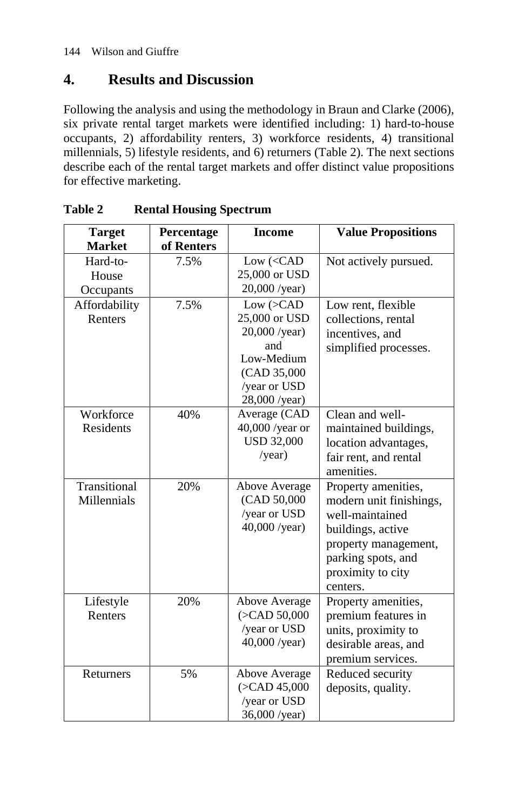### **4. Results and Discussion**

Following the analysis and using the methodology in Braun and Clarke (2006), six private rental target markets were identified including: 1) hard-to-house occupants, 2) affordability renters, 3) workforce residents, 4) transitional millennials, 5) lifestyle residents, and 6) returners (Table 2). The next sections describe each of the rental target markets and offer distinct value propositions for effective marketing.

| <b>Target</b><br><b>Market</b> | Percentage<br>of Renters | <b>Income</b>                                                                                                        | <b>Value Propositions</b>                                                                                                                                             |
|--------------------------------|--------------------------|----------------------------------------------------------------------------------------------------------------------|-----------------------------------------------------------------------------------------------------------------------------------------------------------------------|
| Hard-to-<br>House<br>Occupants | 7.5%                     | Low ( <cad<br>25,000 or USD<br/>20,000 /year)</cad<br>                                                               | Not actively pursued.                                                                                                                                                 |
| Affordability<br>Renters       | 7.5%                     | Low (> CAD)<br>25,000 or USD<br>$20,000$ /year)<br>and<br>Low-Medium<br>(CAD 35,000<br>/year or USD<br>28,000 /year) | Low rent, flexible<br>collections, rental<br>incentives, and<br>simplified processes.                                                                                 |
| Workforce<br><b>Residents</b>  | 40%                      | Average (CAD<br>$40,000$ /year or<br><b>USD 32,000</b><br>/year)                                                     | Clean and well-<br>maintained buildings,<br>location advantages,<br>fair rent, and rental<br>amenities.                                                               |
| Transitional<br>Millennials    | 20%                      | Above Average<br>(CAD 50,000)<br>/year or USD<br>40,000 /year)                                                       | Property amenities,<br>modern unit finishings,<br>well-maintained<br>buildings, active<br>property management,<br>parking spots, and<br>proximity to city<br>centers. |
| Lifestyle<br>Renters           | 20%                      | Above Average<br>( <b>CAD 50,000</b> )<br>/year or USD<br>40,000 /year)                                              | Property amenities,<br>premium features in<br>units, proximity to<br>desirable areas, and<br>premium services.                                                        |
| Returners                      | 5%                       | Above Average<br>( <b>CAD</b> 45,000<br>/year or USD<br>36,000 /year)                                                | Reduced security<br>deposits, quality.                                                                                                                                |

**Table 2 Rental Housing Spectrum**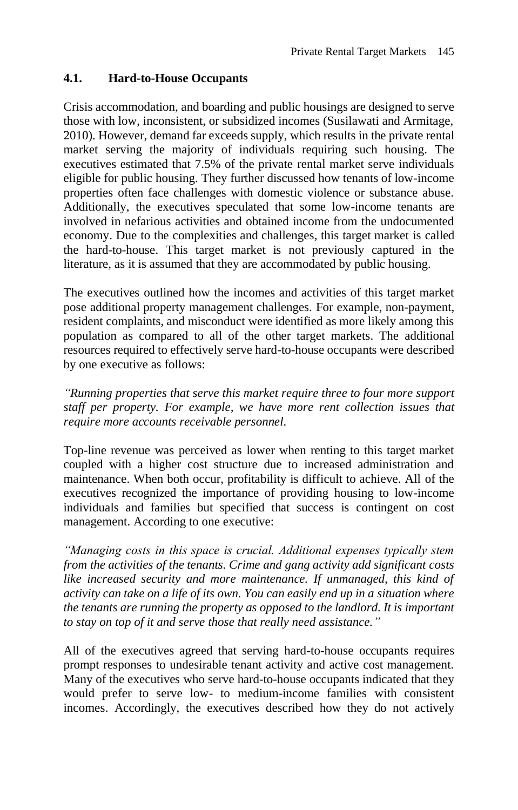#### **4.1. Hard-to-House Occupants**

Crisis accommodation, and boarding and public housings are designed to serve those with low, inconsistent, or subsidized incomes (Susilawati and Armitage, 2010). However, demand far exceeds supply, which results in the private rental market serving the majority of individuals requiring such housing. The executives estimated that 7.5% of the private rental market serve individuals eligible for public housing. They further discussed how tenants of low-income properties often face challenges with domestic violence or substance abuse. Additionally, the executives speculated that some low-income tenants are involved in nefarious activities and obtained income from the undocumented economy. Due to the complexities and challenges, this target market is called the hard-to-house. This target market is not previously captured in the literature, as it is assumed that they are accommodated by public housing.

The executives outlined how the incomes and activities of this target market pose additional property management challenges. For example, non-payment, resident complaints, and misconduct were identified as more likely among this population as compared to all of the other target markets. The additional resources required to effectively serve hard-to-house occupants were described by one executive as follows:

*"Running properties that serve this market require three to four more support staff per property. For example, we have more rent collection issues that require more accounts receivable personnel.*

Top-line revenue was perceived as lower when renting to this target market coupled with a higher cost structure due to increased administration and maintenance. When both occur, profitability is difficult to achieve. All of the executives recognized the importance of providing housing to low-income individuals and families but specified that success is contingent on cost management. According to one executive:

*"Managing costs in this space is crucial. Additional expenses typically stem from the activities of the tenants. Crime and gang activity add significant costs like increased security and more maintenance. If unmanaged, this kind of activity can take on a life of its own. You can easily end up in a situation where the tenants are running the property as opposed to the landlord. It is important to stay on top of it and serve those that really need assistance."* 

All of the executives agreed that serving hard-to-house occupants requires prompt responses to undesirable tenant activity and active cost management. Many of the executives who serve hard-to-house occupants indicated that they would prefer to serve low- to medium-income families with consistent incomes. Accordingly, the executives described how they do not actively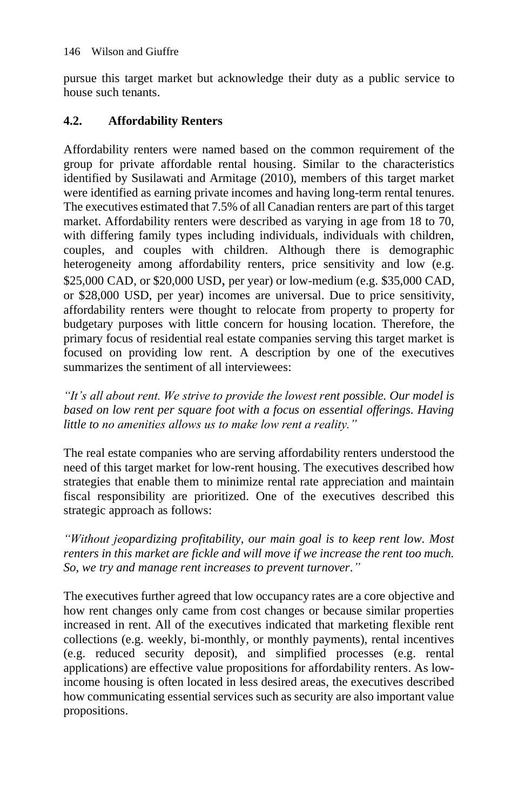pursue this target market but acknowledge their duty as a public service to house such tenants.

#### **4.2. Affordability Renters**

Affordability renters were named based on the common requirement of the group for private affordable rental housing. Similar to the characteristics identified by Susilawati and Armitage (2010), members of this target market were identified as earning private incomes and having long-term rental tenures. The executives estimated that 7.5% of all Canadian renters are part of this target market. Affordability renters were described as varying in age from 18 to 70, with differing family types including individuals, individuals with children, couples, and couples with children. Although there is demographic heterogeneity among affordability renters, price sensitivity and low (e.g. \$25,000 CAD, or \$20,000 USD, per year) or low-medium (e.g. \$35,000 CAD, or \$28,000 USD, per year) incomes are universal. Due to price sensitivity, affordability renters were thought to relocate from property to property for budgetary purposes with little concern for housing location. Therefore, the primary focus of residential real estate companies serving this target market is focused on providing low rent. A description by one of the executives summarizes the sentiment of all interviewees:

*"It's all about rent. We strive to provide the lowest rent possible. Our model is based on low rent per square foot with a focus on essential offerings. Having little to no amenities allows us to make low rent a reality."*

The real estate companies who are serving affordability renters understood the need of this target market for low-rent housing. The executives described how strategies that enable them to minimize rental rate appreciation and maintain fiscal responsibility are prioritized. One of the executives described this strategic approach as follows:

*"Without jeopardizing profitability, our main goal is to keep rent low. Most renters in this market are fickle and will move if we increase the rent too much. So, we try and manage rent increases to prevent turnover."*

The executives further agreed that low occupancy rates are a core objective and how rent changes only came from cost changes or because similar properties increased in rent. All of the executives indicated that marketing flexible rent collections (e.g. weekly, bi-monthly, or monthly payments), rental incentives (e.g. reduced security deposit), and simplified processes (e.g. rental applications) are effective value propositions for affordability renters. As lowincome housing is often located in less desired areas, the executives described how communicating essential services such as security are also important value propositions.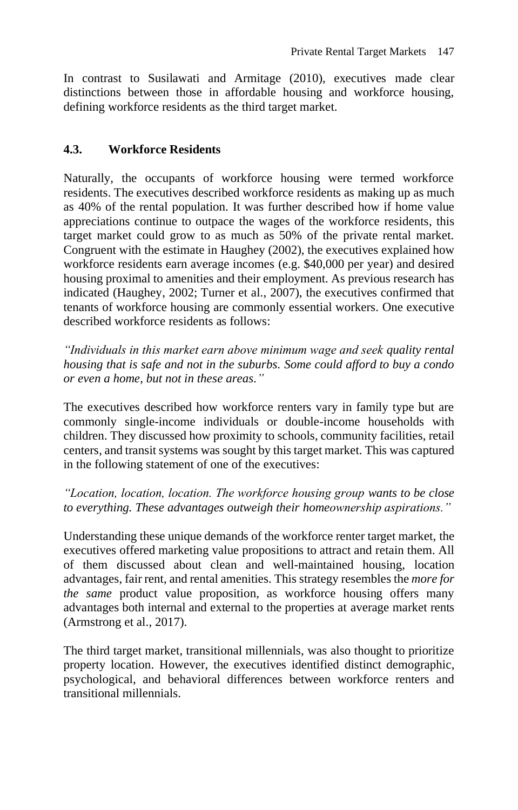In contrast to Susilawati and Armitage (2010), executives made clear distinctions between those in affordable housing and workforce housing, defining workforce residents as the third target market.

### **4.3. Workforce Residents**

Naturally, the occupants of workforce housing were termed workforce residents. The executives described workforce residents as making up as much as 40% of the rental population. It was further described how if home value appreciations continue to outpace the wages of the workforce residents, this target market could grow to as much as 50% of the private rental market. Congruent with the estimate in Haughey (2002), the executives explained how workforce residents earn average incomes (e.g. \$40,000 per year) and desired housing proximal to amenities and their employment. As previous research has indicated (Haughey, 2002; Turner et al., 2007), the executives confirmed that tenants of workforce housing are commonly essential workers. One executive described workforce residents as follows:

*"Individuals in this market earn above minimum wage and seek quality rental housing that is safe and not in the suburbs. Some could afford to buy a condo or even a home, but not in these areas."*

The executives described how workforce renters vary in family type but are commonly single-income individuals or double-income households with children. They discussed how proximity to schools, community facilities, retail centers, and transit systems was sought by this target market. This was captured in the following statement of one of the executives:

*"Location, location, location. The workforce housing group wants to be close to everything. These advantages outweigh their homeownership aspirations."*

Understanding these unique demands of the workforce renter target market, the executives offered marketing value propositions to attract and retain them. All of them discussed about clean and well-maintained housing, location advantages, fair rent, and rental amenities. This strategy resembles the *more for the same* product value proposition, as workforce housing offers many advantages both internal and external to the properties at average market rents (Armstrong et al., 2017).

The third target market, transitional millennials, was also thought to prioritize property location. However, the executives identified distinct demographic, psychological, and behavioral differences between workforce renters and transitional millennials.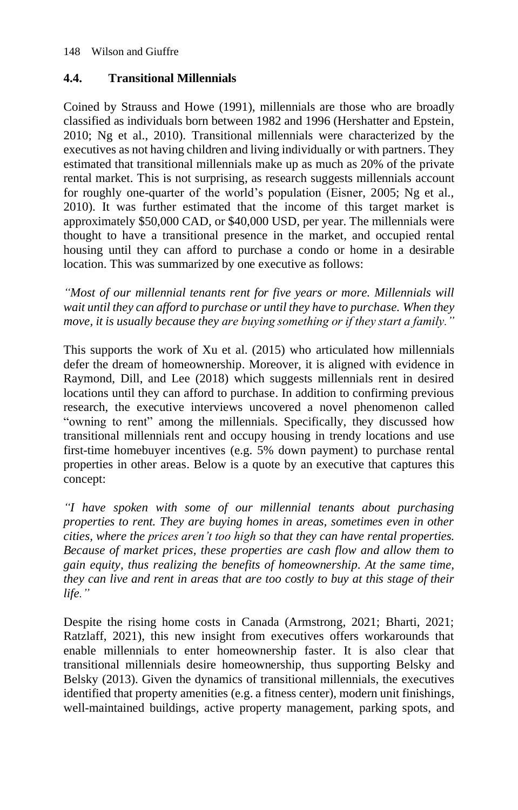### **4.4. Transitional Millennials**

Coined by Strauss and Howe (1991), millennials are those who are broadly classified as individuals born between 1982 and 1996 (Hershatter and Epstein, 2010; Ng et al., 2010). Transitional millennials were characterized by the executives as not having children and living individually or with partners. They estimated that transitional millennials make up as much as 20% of the private rental market. This is not surprising, as research suggests millennials account for roughly one-quarter of the world's population (Eisner, 2005; Ng et al., 2010). It was further estimated that the income of this target market is approximately \$50,000 CAD, or \$40,000 USD, per year. The millennials were thought to have a transitional presence in the market, and occupied rental housing until they can afford to purchase a condo or home in a desirable location. This was summarized by one executive as follows:

*"Most of our millennial tenants rent for five years or more. Millennials will wait until they can afford to purchase or until they have to purchase. When they move, it is usually because they are buying something or if they start a family."*

This supports the work of Xu et al. (2015) who articulated how millennials defer the dream of homeownership. Moreover, it is aligned with evidence in Raymond, Dill, and Lee (2018) which suggests millennials rent in desired locations until they can afford to purchase. In addition to confirming previous research, the executive interviews uncovered a novel phenomenon called "owning to rent" among the millennials. Specifically, they discussed how transitional millennials rent and occupy housing in trendy locations and use first-time homebuyer incentives (e.g. 5% down payment) to purchase rental properties in other areas. Below is a quote by an executive that captures this concept:

*"I have spoken with some of our millennial tenants about purchasing properties to rent. They are buying homes in areas, sometimes even in other cities, where the prices aren't too high so that they can have rental properties. Because of market prices, these properties are cash flow and allow them to gain equity, thus realizing the benefits of homeownership. At the same time, they can live and rent in areas that are too costly to buy at this stage of their life."*

Despite the rising home costs in Canada (Armstrong, 2021; Bharti, 2021; Ratzlaff, 2021), this new insight from executives offers workarounds that enable millennials to enter homeownership faster. It is also clear that transitional millennials desire homeownership, thus supporting Belsky and Belsky (2013). Given the dynamics of transitional millennials, the executives identified that property amenities (e.g. a fitness center), modern unit finishings, well-maintained buildings, active property management, parking spots, and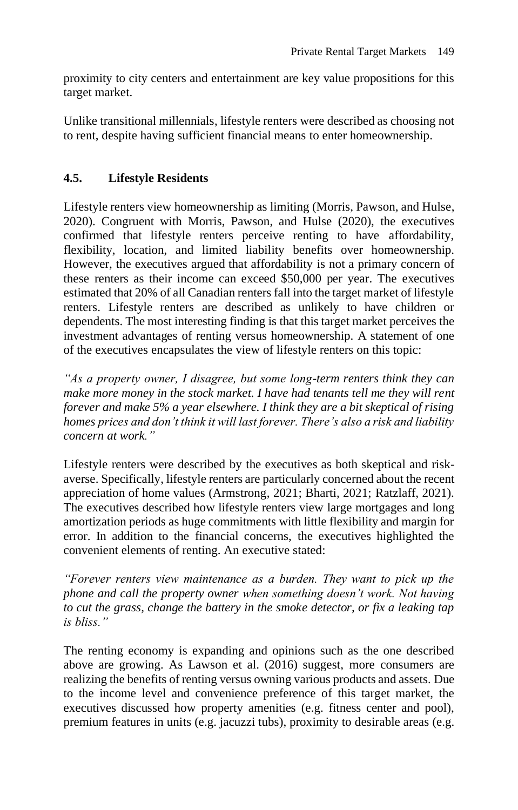proximity to city centers and entertainment are key value propositions for this target market.

Unlike transitional millennials, lifestyle renters were described as choosing not to rent, despite having sufficient financial means to enter homeownership.

#### **4.5. Lifestyle Residents**

Lifestyle renters view homeownership as limiting (Morris, Pawson, and Hulse, 2020). Congruent with Morris, Pawson, and Hulse (2020), the executives confirmed that lifestyle renters perceive renting to have affordability, flexibility, location, and limited liability benefits over homeownership. However, the executives argued that affordability is not a primary concern of these renters as their income can exceed \$50,000 per year. The executives estimated that 20% of all Canadian renters fall into the target market of lifestyle renters. Lifestyle renters are described as unlikely to have children or dependents. The most interesting finding is that this target market perceives the investment advantages of renting versus homeownership. A statement of one of the executives encapsulates the view of lifestyle renters on this topic:

*"As a property owner, I disagree, but some long-term renters think they can make more money in the stock market. I have had tenants tell me they will rent forever and make 5% a year elsewhere. I think they are a bit skeptical of rising homes prices and don't think it will last forever. There's also a risk and liability concern at work."*

Lifestyle renters were described by the executives as both skeptical and riskaverse. Specifically, lifestyle renters are particularly concerned about the recent appreciation of home values (Armstrong, 2021; Bharti, 2021; Ratzlaff, 2021). The executives described how lifestyle renters view large mortgages and long amortization periods as huge commitments with little flexibility and margin for error. In addition to the financial concerns, the executives highlighted the convenient elements of renting. An executive stated:

*"Forever renters view maintenance as a burden. They want to pick up the phone and call the property owner when something doesn't work. Not having to cut the grass, change the battery in the smoke detector, or fix a leaking tap is bliss."* 

The renting economy is expanding and opinions such as the one described above are growing. As Lawson et al. (2016) suggest, more consumers are realizing the benefits of renting versus owning various products and assets. Due to the income level and convenience preference of this target market, the executives discussed how property amenities (e.g. fitness center and pool), premium features in units (e.g. jacuzzi tubs), proximity to desirable areas (e.g.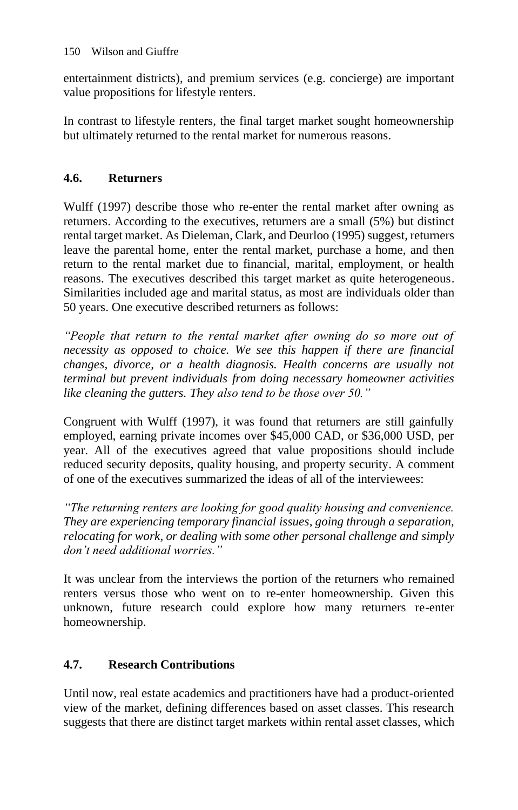entertainment districts), and premium services (e.g. concierge) are important value propositions for lifestyle renters.

In contrast to lifestyle renters, the final target market sought homeownership but ultimately returned to the rental market for numerous reasons.

### **4.6. Returners**

Wulff (1997) describe those who re-enter the rental market after owning as returners. According to the executives, returners are a small (5%) but distinct rental target market. As Dieleman, Clark, and Deurloo (1995) suggest, returners leave the parental home, enter the rental market, purchase a home, and then return to the rental market due to financial, marital, employment, or health reasons. The executives described this target market as quite heterogeneous. Similarities included age and marital status, as most are individuals older than 50 years. One executive described returners as follows:

*"People that return to the rental market after owning do so more out of necessity as opposed to choice. We see this happen if there are financial changes, divorce, or a health diagnosis. Health concerns are usually not terminal but prevent individuals from doing necessary homeowner activities like cleaning the gutters. They also tend to be those over 50."*

Congruent with Wulff (1997), it was found that returners are still gainfully employed, earning private incomes over \$45,000 CAD, or \$36,000 USD, per year. All of the executives agreed that value propositions should include reduced security deposits, quality housing, and property security. A comment of one of the executives summarized the ideas of all of the interviewees:

*"The returning renters are looking for good quality housing and convenience. They are experiencing temporary financial issues, going through a separation, relocating for work, or dealing with some other personal challenge and simply don't need additional worries."* 

It was unclear from the interviews the portion of the returners who remained renters versus those who went on to re-enter homeownership. Given this unknown, future research could explore how many returners re-enter homeownership.

### **4.7. Research Contributions**

Until now, real estate academics and practitioners have had a product-oriented view of the market, defining differences based on asset classes. This research suggests that there are distinct target markets within rental asset classes, which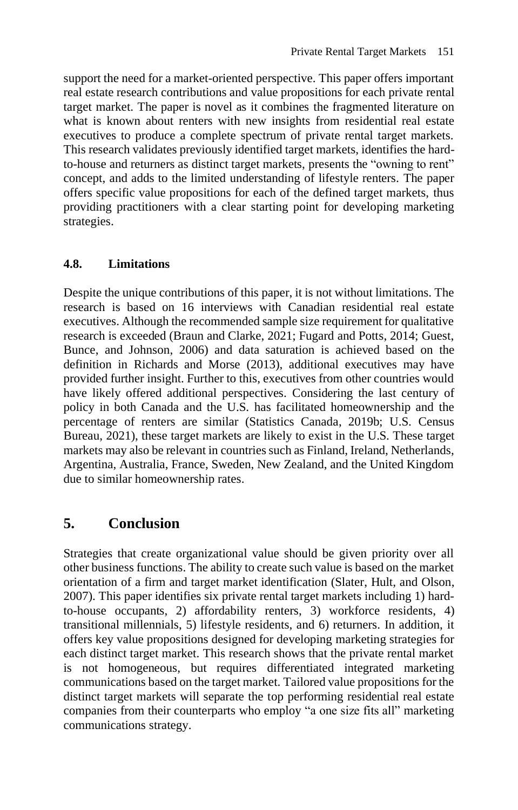support the need for a market-oriented perspective. This paper offers important real estate research contributions and value propositions for each private rental target market. The paper is novel as it combines the fragmented literature on what is known about renters with new insights from residential real estate executives to produce a complete spectrum of private rental target markets. This research validates previously identified target markets, identifies the hardto-house and returners as distinct target markets, presents the "owning to rent" concept, and adds to the limited understanding of lifestyle renters. The paper offers specific value propositions for each of the defined target markets, thus providing practitioners with a clear starting point for developing marketing strategies.

### **4.8. Limitations**

Despite the unique contributions of this paper, it is not without limitations. The research is based on 16 interviews with Canadian residential real estate executives. Although the recommended sample size requirement for qualitative research is exceeded (Braun and Clarke, 2021; Fugard and Potts, 2014; Guest, Bunce, and Johnson, 2006) and data saturation is achieved based on the definition in Richards and Morse (2013), additional executives may have provided further insight. Further to this, executives from other countries would have likely offered additional perspectives. Considering the last century of policy in both Canada and the U.S. has facilitated homeownership and the percentage of renters are similar (Statistics Canada, 2019b; U.S. Census Bureau, 2021), these target markets are likely to exist in the U.S. These target markets may also be relevant in countries such as Finland, Ireland, Netherlands, Argentina, Australia, France, Sweden, New Zealand, and the United Kingdom due to similar homeownership rates.

### **5. Conclusion**

Strategies that create organizational value should be given priority over all other business functions. The ability to create such value is based on the market orientation of a firm and target market identification (Slater, Hult, and Olson, 2007). This paper identifies six private rental target markets including 1) hardto-house occupants, 2) affordability renters, 3) workforce residents, 4) transitional millennials, 5) lifestyle residents, and 6) returners. In addition, it offers key value propositions designed for developing marketing strategies for each distinct target market. This research shows that the private rental market is not homogeneous, but requires differentiated integrated marketing communications based on the target market. Tailored value propositions for the distinct target markets will separate the top performing residential real estate companies from their counterparts who employ "a one size fits all" marketing communications strategy.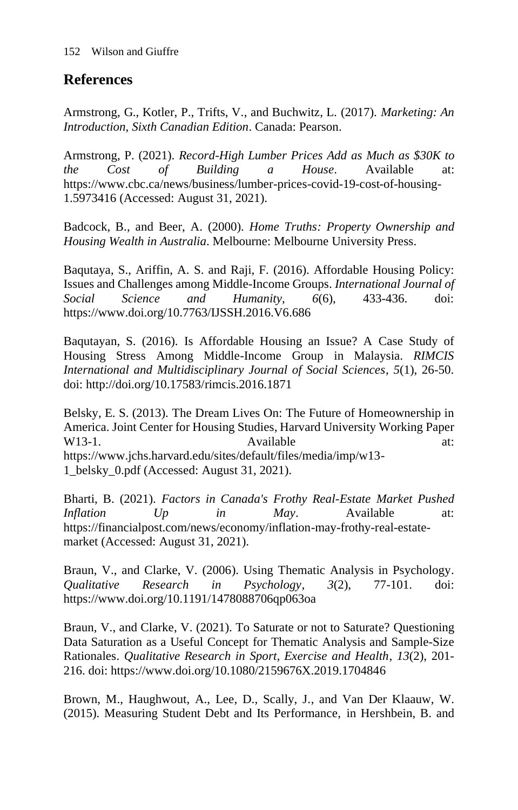### **References**

Armstrong, G., Kotler, P., Trifts, V., and Buchwitz, L. (2017). *Marketing: An Introduction, Sixth Canadian Edition*. Canada: Pearson.

Armstrong, P. (2021). *Record-High Lumber Prices Add as Much as \$30K to the Cost of Building a House*. Available at: https://www.cbc.ca/news/business/lumber-prices-covid-19-cost-of-housing-1.5973416 (Accessed: August 31, 2021).

Badcock, B., and Beer, A. (2000). *Home Truths: Property Ownership and Housing Wealth in Australia*. Melbourne: Melbourne University Press.

Baqutaya, S., Ariffin, A. S. and Raji, F. (2016). Affordable Housing Policy: Issues and Challenges among Middle-Income Groups. *International Journal of Social Science and Humanity*, *6*(6), 433-436. doi: https://www.doi.org/10.7763/IJSSH.2016.V6.686

Baqutayan, S. (2016). Is Affordable Housing an Issue? A Case Study of Housing Stress Among Middle-Income Group in Malaysia. *RIMCIS International and Multidisciplinary Journal of Social Sciences*, *5*(1), 26-50. doi: http://doi.org/10.17583/rimcis.2016.1871

Belsky, E. S. (2013). The Dream Lives On: The Future of Homeownership in America. Joint Center for Housing Studies, Harvard University Working Paper W13-1. Available at: https://www.jchs.harvard.edu/sites/default/files/media/imp/w13- 1\_belsky\_0.pdf (Accessed: August 31, 2021).

Bharti, B. (2021). *Factors in Canada's Frothy Real-Estate Market Pushed Inflation Up in May*. Available at: https://financialpost.com/news/economy/inflation-may-frothy-real-estatemarket (Accessed: August 31, 2021).

Braun, V., and Clarke, V. (2006). Using Thematic Analysis in Psychology. *Qualitative Research in Psychology*, *3*(2), 77-101. doi: https://www.doi.org/10.1191/1478088706qp063oa

Braun, V., and Clarke, V. (2021). To Saturate or not to Saturate? Questioning Data Saturation as a Useful Concept for Thematic Analysis and Sample-Size Rationales. *Qualitative Research in Sport, Exercise and Health*, *13*(2), 201- 216. doi: https://www.doi.org/10.1080/2159676X.2019.1704846

Brown, M., Haughwout, A., Lee, D., Scally, J., and Van Der Klaauw, W. (2015). Measuring Student Debt and Its Performance, in Hershbein, B. and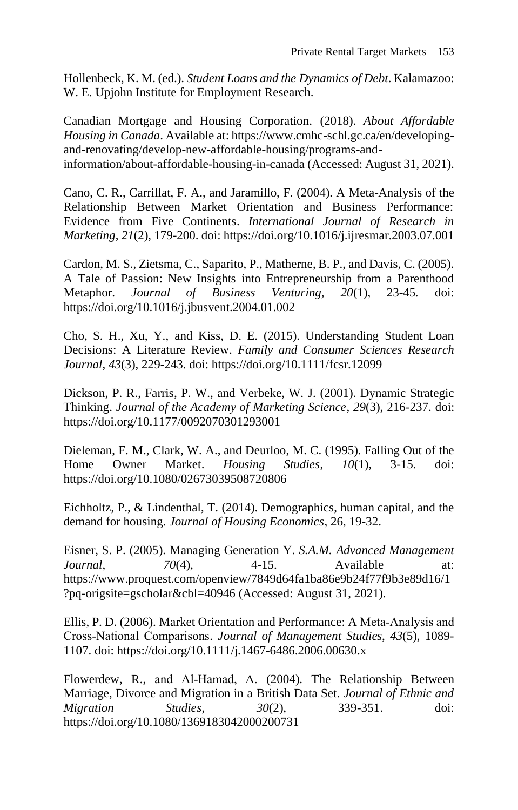Hollenbeck, K. M. (ed.). *Student Loans and the Dynamics of Debt*. Kalamazoo: W. E. Upjohn Institute for Employment Research.

Canadian Mortgage and Housing Corporation. (2018). *About Affordable Housing in Canada*. Available at: https://www.cmhc-schl.gc.ca/en/developingand-renovating/develop-new-affordable-housing/programs-andinformation/about-affordable-housing-in-canada (Accessed: August 31, 2021).

Cano, C. R., Carrillat, F. A., and Jaramillo, F. (2004). A Meta-Analysis of the Relationship Between Market Orientation and Business Performance: Evidence from Five Continents. *International Journal of Research in Marketing*, *21*(2), 179-200. doi: https://doi.org/10.1016/j.ijresmar.2003.07.001

Cardon, M. S., Zietsma, C., Saparito, P., Matherne, B. P., and Davis, C. (2005). A Tale of Passion: New Insights into Entrepreneurship from a Parenthood Metaphor. *Journal of Business Venturing, 20*(1), 23-45*.* doi: https://doi.org/10.1016/j.jbusvent.2004.01.002

Cho, S. H., Xu, Y., and Kiss, D. E. (2015). Understanding Student Loan Decisions: A Literature Review. *Family and Consumer Sciences Research Journal*, *43*(3), 229-243. doi: https://doi.org/10.1111/fcsr.12099

Dickson, P. R., Farris, P. W., and Verbeke, W. J. (2001). Dynamic Strategic Thinking. *Journal of the Academy of Marketing Science*, *29*(3), 216-237. doi: https://doi.org/10.1177/0092070301293001

Dieleman, F. M., Clark, W. A., and Deurloo, M. C. (1995). Falling Out of the Home Owner Market. *Housing Studies*, *10*(1), 3-15. doi: https://doi.org/10.1080/02673039508720806

Eichholtz, P., & Lindenthal, T. (2014). Demographics, human capital, and the demand for housing. *Journal of Housing Economics*, 26, 19-32.

Eisner, S. P. (2005). Managing Generation Y. *S.A.M. Advanced Management Journal*, *70*(4), 4-15. Available at: https://www.proquest.com/openview/7849d64fa1ba86e9b24f77f9b3e89d16/1 ?pq-origsite=gscholar&cbl=40946 (Accessed: August 31, 2021).

Ellis, P. D. (2006). Market Orientation and Performance: A Meta‐Analysis and Cross‐National Comparisons. *Journal of Management Studies*, *43*(5), 1089- 1107. doi: https://doi.org/10.1111/j.1467-6486.2006.00630.x

Flowerdew, R., and Al-Hamad, A. (2004). The Relationship Between Marriage, Divorce and Migration in a British Data Set. *Journal of Ethnic and Migration Studies*, *30*(2), 339-351. doi: https://doi.org/10.1080/1369183042000200731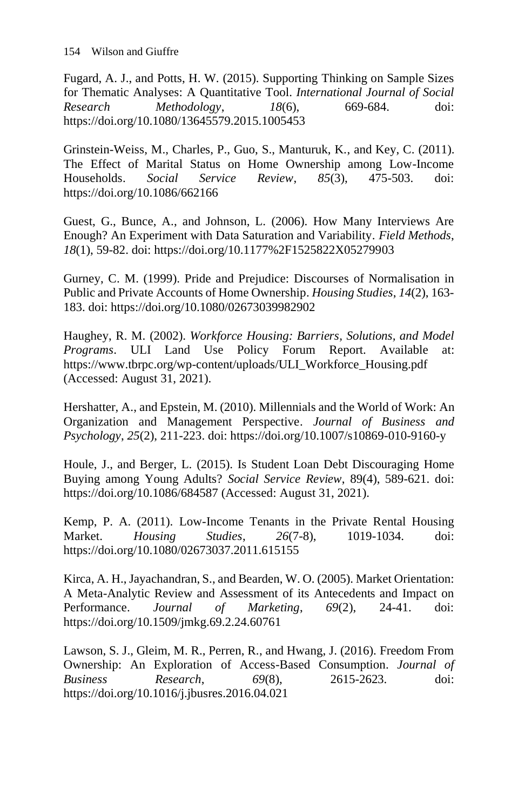Fugard, A. J., and Potts, H. W. (2015). Supporting Thinking on Sample Sizes for Thematic Analyses: A Quantitative Tool. *International Journal of Social Research Methodology*, *18*(6), 669-684. doi: https://doi.org/10.1080/13645579.2015.1005453

Grinstein-Weiss, M., Charles, P., Guo, S., Manturuk, K., and Key, C. (2011). The Effect of Marital Status on Home Ownership among Low-Income Households. *Social Service Review*, *85*(3), 475-503. doi: https://doi.org/10.1086/662166

Guest, G., Bunce, A., and Johnson, L. (2006). How Many Interviews Are Enough? An Experiment with Data Saturation and Variability. *Field Methods*, *18*(1), 59-82. doi: https://doi.org/10.1177%2F1525822X05279903

Gurney, C. M. (1999). Pride and Prejudice: Discourses of Normalisation in Public and Private Accounts of Home Ownership. *Housing Studies*, *14*(2), 163- 183. doi: https://doi.org/10.1080/02673039982902

Haughey, R. M. (2002). *Workforce Housing: Barriers, Solutions, and Model Programs*. ULI Land Use Policy Forum Report. Available at: https://www.tbrpc.org/wp-content/uploads/ULI\_Workforce\_Housing.pdf (Accessed: August 31, 2021).

Hershatter, A., and Epstein, M. (2010). Millennials and the World of Work: An Organization and Management Perspective. *Journal of Business and Psychology*, *25*(2), 211-223. doi: https://doi.org/10.1007/s10869-010-9160-y

Houle, J., and Berger, L. (2015). Is Student Loan Debt Discouraging Home Buying among Young Adults? *Social Service Review*, 89(4), 589-621. doi: https://doi.org/10.1086/684587 (Accessed: August 31, 2021).

Kemp, P. A. (2011). Low-Income Tenants in the Private Rental Housing Market. *Housing Studies*, *26*(7-8), 1019-1034. doi: https://doi.org/10.1080/02673037.2011.615155

Kirca, A. H., Jayachandran, S., and Bearden, W. O. (2005). Market Orientation: A Meta-Analytic Review and Assessment of its Antecedents and Impact on Performance. *Journal of Marketing*, *69*(2), 24-41. doi: https://doi.org/10.1509/jmkg.69.2.24.60761

Lawson, S. J., Gleim, M. R., Perren, R., and Hwang, J. (2016). Freedom From Ownership: An Exploration of Access-Based Consumption. *Journal of Business Research*, *69*(8), 2615-2623. doi: https://doi.org/10.1016/j.jbusres.2016.04.021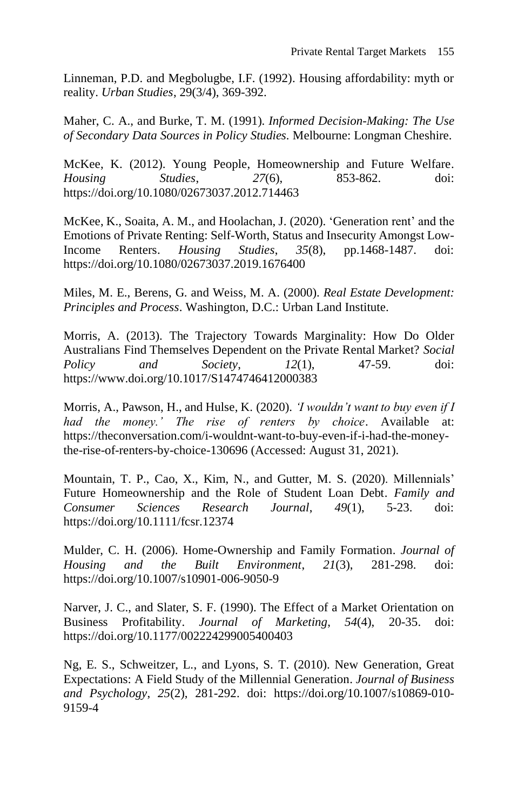Linneman, P.D. and Megbolugbe, I.F. (1992). Housing affordability: myth or reality. *Urban Studies*, 29(3/4), 369-392.

Maher, C. A., and Burke, T. M. (1991). *Informed Decision-Making: The Use of Secondary Data Sources in Policy Studies.* Melbourne: Longman Cheshire.

McKee, K. (2012). Young People, Homeownership and Future Welfare. *Housing Studies*, *27*(6), 853-862. doi: https://doi.org/10.1080/02673037.2012.714463

McKee, K., Soaita, A. M., and Hoolachan, J. (2020). 'Generation rent' and the Emotions of Private Renting: Self-Worth, Status and Insecurity Amongst Low-Income Renters. *Housing Studies*, *35*(8), pp.1468-1487. doi: https://doi.org/10.1080/02673037.2019.1676400

Miles, M. E., Berens, G. and Weiss, M. A. (2000). *Real Estate Development: Principles and Process*. Washington, D.C.: Urban Land Institute.

Morris, A. (2013). The Trajectory Towards Marginality: How Do Older Australians Find Themselves Dependent on the Private Rental Market? *Social Policy and Society*, *12*(1), 47-59. doi: https://www.doi.org/10.1017/S1474746412000383

Morris, A., Pawson, H., and Hulse, K. (2020). *'I wouldn't want to buy even if I had the money.' The rise of renters by choice*. Available at: https://theconversation.com/i-wouldnt-want-to-buy-even-if-i-had-the-moneythe-rise-of-renters-by-choice-130696 (Accessed: August 31, 2021).

Mountain, T. P., Cao, X., Kim, N., and Gutter, M. S. (2020). Millennials' Future Homeownership and the Role of Student Loan Debt. *Family and Consumer Sciences Research Journal*, *49*(1), 5-23. doi: https://doi.org/10.1111/fcsr.12374

Mulder, C. H. (2006). Home-Ownership and Family Formation. *Journal of Housing and the Built Environment*, *21*(3), 281-298. doi: https://doi.org/10.1007/s10901-006-9050-9

Narver, J. C., and Slater, S. F. (1990). The Effect of a Market Orientation on Business Profitability. *Journal of Marketing*, *54*(4), 20-35. doi: https://doi.org/10.1177/002224299005400403

Ng, E. S., Schweitzer, L., and Lyons, S. T. (2010). New Generation, Great Expectations: A Field Study of the Millennial Generation. *Journal of Business and Psychology*, *25*(2), 281-292. doi: https://doi.org/10.1007/s10869-010- 9159-4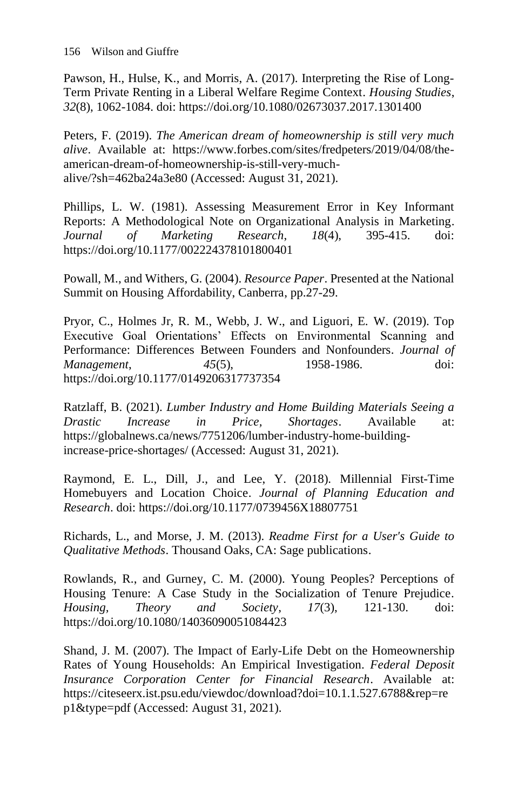Pawson, H., Hulse, K., and Morris, A. (2017). Interpreting the Rise of Long-Term Private Renting in a Liberal Welfare Regime Context. *Housing Studies*, *32*(8), 1062-1084. doi: https://doi.org/10.1080/02673037.2017.1301400

Peters, F. (2019). *The American dream of homeownership is still very much alive*. Available at: https://www.forbes.com/sites/fredpeters/2019/04/08/theamerican-dream-of-homeownership-is-still-very-muchalive/?sh=462ba24a3e80 (Accessed: August 31, 2021).

Phillips, L. W. (1981). Assessing Measurement Error in Key Informant Reports: A Methodological Note on Organizational Analysis in Marketing. *Journal of Marketing Research*, *18*(4), 395-415. doi: https://doi.org/10.1177/002224378101800401

Powall, M., and Withers, G. (2004). *Resource Paper*. Presented at the National Summit on Housing Affordability, Canberra, pp.27-29.

Pryor, C., Holmes Jr, R. M., Webb, J. W., and Liguori, E. W. (2019). Top Executive Goal Orientations' Effects on Environmental Scanning and Performance: Differences Between Founders and Nonfounders. *Journal of Management*, *45*(5), 1958-1986. doi: https://doi.org/10.1177/0149206317737354

Ratzlaff, B. (2021). *Lumber Industry and Home Building Materials Seeing a Drastic Increase in Price, Shortages*. Available at: https://globalnews.ca/news/7751206/lumber-industry-home-buildingincrease-price-shortages/ (Accessed: August 31, 2021).

Raymond, E. L., Dill, J., and Lee, Y. (2018). Millennial First-Time Homebuyers and Location Choice. *Journal of Planning Education and Research*. doi: https://doi.org/10.1177/0739456X18807751

Richards, L., and Morse, J. M. (2013). *Readme First for a User's Guide to Qualitative Methods*. Thousand Oaks, CA: Sage publications.

Rowlands, R., and Gurney, C. M. (2000). Young Peoples? Perceptions of Housing Tenure: A Case Study in the Socialization of Tenure Prejudice. *Housing, Theory and Society*, *17*(3), 121-130. doi: https://doi.org/10.1080/14036090051084423

Shand, J. M. (2007). The Impact of Early-Life Debt on the Homeownership Rates of Young Households: An Empirical Investigation. *Federal Deposit Insurance Corporation Center for Financial Research*. Available at: https://citeseerx.ist.psu.edu/viewdoc/download?doi=10.1.1.527.6788&rep=re p1&type=pdf (Accessed: August 31, 2021).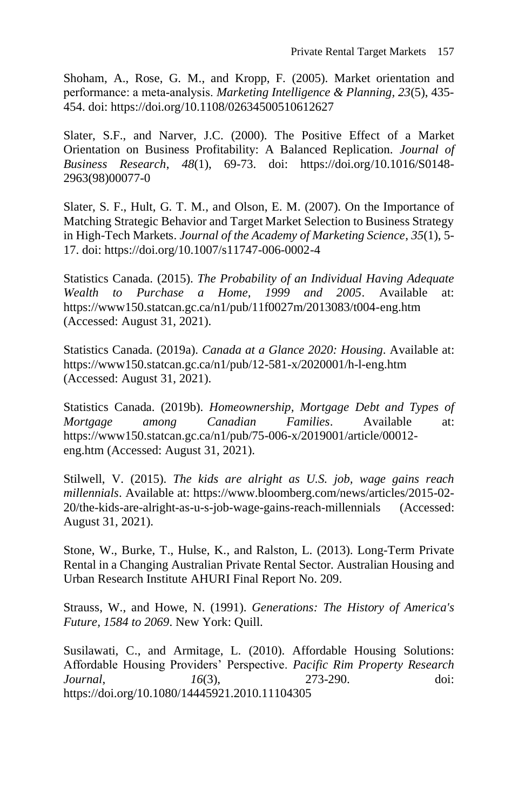Shoham, A., Rose, G. M., and Kropp, F. (2005). Market orientation and performance: a meta‐analysis. *Marketing Intelligence & Planning, 23*(5), 435- 454. doi: https://doi.org/10.1108/02634500510612627

Slater, S.F., and Narver, J.C. (2000). The Positive Effect of a Market Orientation on Business Profitability: A Balanced Replication. *Journal of Business Research*, *48*(1), 69-73. doi: https://doi.org/10.1016/S0148- 2963(98)00077-0

Slater, S. F., Hult, G. T. M., and Olson, E. M. (2007). On the Importance of Matching Strategic Behavior and Target Market Selection to Business Strategy in High-Tech Markets. *Journal of the Academy of Marketing Science*, *35*(1), 5- 17. doi: https://doi.org/10.1007/s11747-006-0002-4

Statistics Canada. (2015). *The Probability of an Individual Having Adequate Wealth to Purchase a Home, 1999 and 2005*. Available at: https://www150.statcan.gc.ca/n1/pub/11f0027m/2013083/t004-eng.htm (Accessed: August 31, 2021).

Statistics Canada. (2019a). *Canada at a Glance 2020: Housing*. Available at: https://www150.statcan.gc.ca/n1/pub/12-581-x/2020001/h-l-eng.htm (Accessed: August 31, 2021).

Statistics Canada. (2019b). *Homeownership, Mortgage Debt and Types of Mortgage among Canadian Families*. Available at: https://www150.statcan.gc.ca/n1/pub/75-006-x/2019001/article/00012 eng.htm (Accessed: August 31, 2021).

Stilwell, V. (2015). *The kids are alright as U.S. job, wage gains reach millennials*. Available at: https://www.bloomberg.com/news/articles/2015-02- 20/the-kids-are-alright-as-u-s-job-wage-gains-reach-millennials (Accessed: August 31, 2021).

Stone, W., Burke, T., Hulse, K., and Ralston, L. (2013). Long-Term Private Rental in a Changing Australian Private Rental Sector*.* Australian Housing and Urban Research Institute AHURI Final Report No. 209.

Strauss, W., and Howe, N. (1991). *Generations: The History of America's Future, 1584 to 2069*. New York: Quill.

Susilawati, C., and Armitage, L. (2010). Affordable Housing Solutions: Affordable Housing Providers' Perspective. *Pacific Rim Property Research Journal*, *16*(3), 273-290. doi: https://doi.org/10.1080/14445921.2010.11104305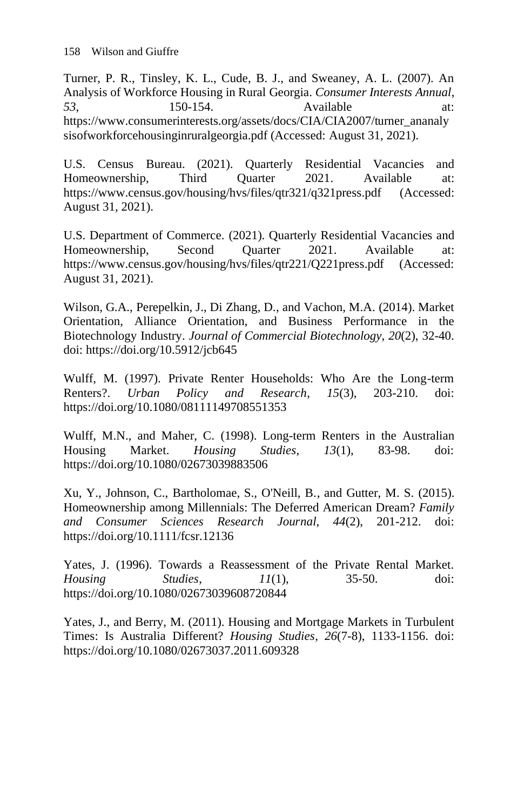Turner, P. R., Tinsley, K. L., Cude, B. J., and Sweaney, A. L. (2007). An Analysis of Workforce Housing in Rural Georgia. *Consumer Interests Annual*, *53*, 150-154. Available at: https://www.consumerinterests.org/assets/docs/CIA/CIA2007/turner\_ananaly sisofworkforcehousinginruralgeorgia.pdf (Accessed: August 31, 2021).

U.S. Census Bureau. (2021). Quarterly Residential Vacancies and Homeownership, Third Quarter 2021. Available at: https://www.census.gov/housing/hvs/files/qtr321/q321press.pdf (Accessed: August 31, 2021).

U.S. Department of Commerce. (2021). Quarterly Residential Vacancies and Homeownership, Second Quarter 2021. Available at: https://www.census.gov/housing/hvs/files/qtr221/Q221press.pdf (Accessed: August 31, 2021).

Wilson, G.A., Perepelkin, J., Di Zhang, D., and Vachon, M.A. (2014). Market Orientation, Alliance Orientation, and Business Performance in the Biotechnology Industry. *Journal of Commercial Biotechnology*, *20*(2), 32-40. doi: https://doi.org/10.5912/jcb645

Wulff, M. (1997). Private Renter Households: Who Are the Long-term Renters?. *Urban Policy and Research*, *15*(3), 203-210. doi: https://doi.org/10.1080/08111149708551353

Wulff, M.N., and Maher, C. (1998). Long-term Renters in the Australian Housing Market. *Housing Studies*, *13*(1), 83-98. doi: https://doi.org/10.1080/02673039883506

Xu, Y., Johnson, C., Bartholomae, S., O'Neill, B., and Gutter, M. S. (2015). Homeownership among Millennials: The Deferred American Dream? *Family and Consumer Sciences Research Journal*, *44*(2), 201-212. doi: https://doi.org/10.1111/fcsr.12136

Yates, J. (1996). Towards a Reassessment of the Private Rental Market. *Housing Studies*, *11*(1), 35-50. doi: https://doi.org/10.1080/02673039608720844

Yates, J., and Berry, M. (2011). Housing and Mortgage Markets in Turbulent Times: Is Australia Different? *Housing Studies*, *26*(7-8), 1133-1156. doi: https://doi.org/10.1080/02673037.2011.609328